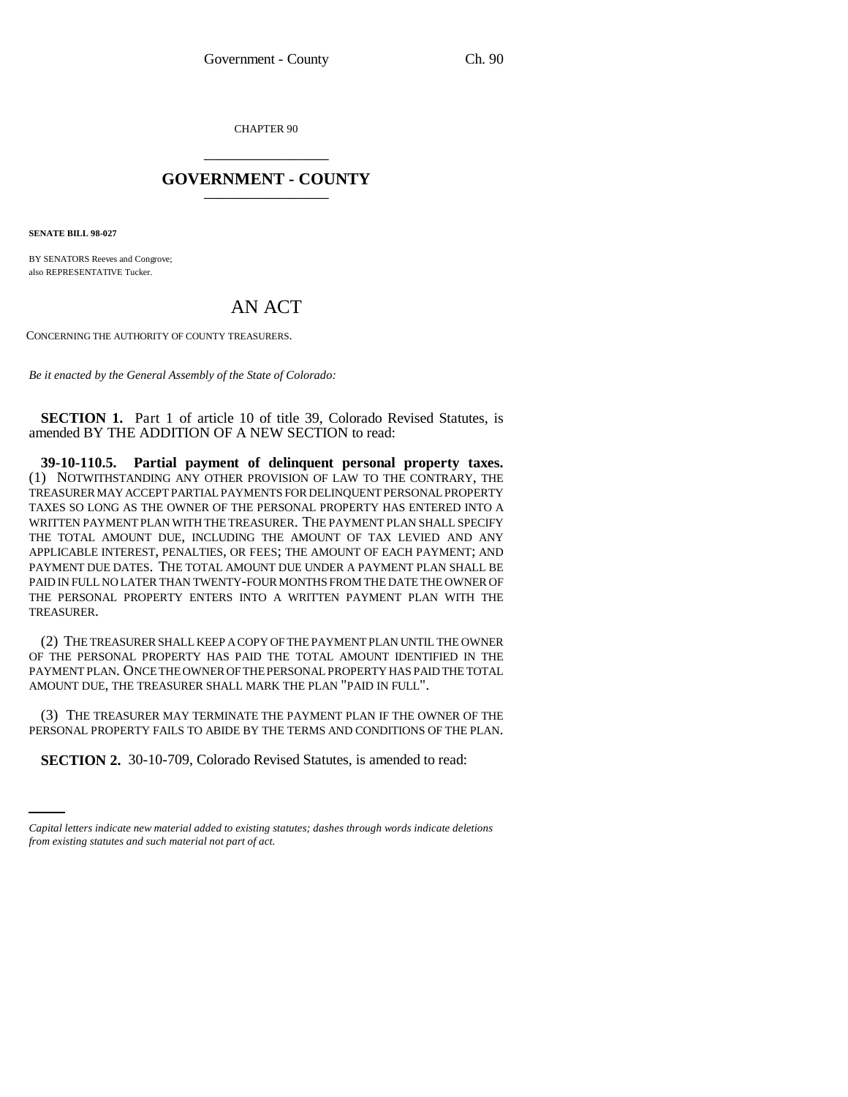CHAPTER 90 \_\_\_\_\_\_\_\_\_\_\_\_\_\_\_

## **GOVERNMENT - COUNTY** \_\_\_\_\_\_\_\_\_\_\_\_\_\_\_

**SENATE BILL 98-027**

BY SENATORS Reeves and Congrove; also REPRESENTATIVE Tucker.

## AN ACT

CONCERNING THE AUTHORITY OF COUNTY TREASURERS.

*Be it enacted by the General Assembly of the State of Colorado:*

**SECTION 1.** Part 1 of article 10 of title 39, Colorado Revised Statutes, is amended BY THE ADDITION OF A NEW SECTION to read:

**39-10-110.5. Partial payment of delinquent personal property taxes.** (1) NOTWITHSTANDING ANY OTHER PROVISION OF LAW TO THE CONTRARY, THE TREASURER MAY ACCEPT PARTIAL PAYMENTS FOR DELINQUENT PERSONAL PROPERTY TAXES SO LONG AS THE OWNER OF THE PERSONAL PROPERTY HAS ENTERED INTO A WRITTEN PAYMENT PLAN WITH THE TREASURER. THE PAYMENT PLAN SHALL SPECIFY THE TOTAL AMOUNT DUE, INCLUDING THE AMOUNT OF TAX LEVIED AND ANY APPLICABLE INTEREST, PENALTIES, OR FEES; THE AMOUNT OF EACH PAYMENT; AND PAYMENT DUE DATES. THE TOTAL AMOUNT DUE UNDER A PAYMENT PLAN SHALL BE PAID IN FULL NO LATER THAN TWENTY-FOUR MONTHS FROM THE DATE THE OWNER OF THE PERSONAL PROPERTY ENTERS INTO A WRITTEN PAYMENT PLAN WITH THE TREASURER.

(2) THE TREASURER SHALL KEEP A COPY OF THE PAYMENT PLAN UNTIL THE OWNER OF THE PERSONAL PROPERTY HAS PAID THE TOTAL AMOUNT IDENTIFIED IN THE PAYMENT PLAN. ONCE THE OWNER OF THE PERSONAL PROPERTY HAS PAID THE TOTAL AMOUNT DUE, THE TREASURER SHALL MARK THE PLAN "PAID IN FULL".

PERSONAL PROPERTY FAILS TO ABIDE BY THE TERMS AND CONDITIONS OF THE PLAN. (3) THE TREASURER MAY TERMINATE THE PAYMENT PLAN IF THE OWNER OF THE

**SECTION 2.** 30-10-709, Colorado Revised Statutes, is amended to read:

*Capital letters indicate new material added to existing statutes; dashes through words indicate deletions from existing statutes and such material not part of act.*